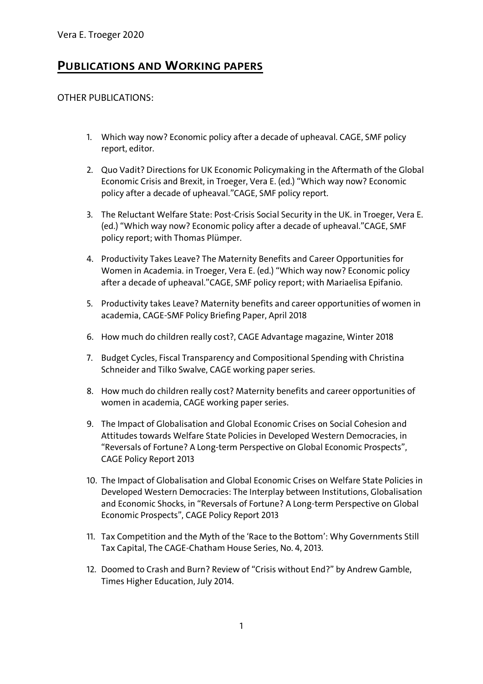## **PUBLICATIONS AND WORKING PAPERS**

## OTHER PUBLICATIONS:

- 1. Which way now? Economic policy after a decade of upheaval. CAGE, SMF policy report, editor.
- 2. Quo Vadit? Directions for UK Economic Policymaking in the Aftermath of the Global Economic Crisis and Brexit, in Troeger, Vera E. (ed.) "Which way now? Economic policy after a decade of upheaval."CAGE, SMF policy report.
- 3. The Reluctant Welfare State: Post-Crisis Social Security in the UK. in Troeger, Vera E. (ed.) "Which way now? Economic policy after a decade of upheaval."CAGE, SMF policy report; with Thomas Plümper.
- 4. Productivity Takes Leave? The Maternity Benefits and Career Opportunities for Women in Academia. in Troeger, Vera E. (ed.) "Which way now? Economic policy after a decade of upheaval."CAGE, SMF policy report; with Mariaelisa Epifanio.
- 5. Productivity takes Leave? Maternity benefits and career opportunities of women in academia, CAGE-SMF Policy Briefing Paper, April 2018
- 6. How much do children really cost?, CAGE Advantage magazine, Winter 2018
- 7. Budget Cycles, Fiscal Transparency and Compositional Spending with Christina Schneider and Tilko Swalve, CAGE working paper series.
- 8. How much do children really cost? Maternity benefits and career opportunities of women in academia, CAGE working paper series.
- 9. The Impact of Globalisation and Global Economic Crises on Social Cohesion and Attitudes towards Welfare State Policies in Developed Western Democracies, in "Reversals of Fortune? A Long-term Perspective on Global Economic Prospects", CAGE Policy Report 2013
- 10. The Impact of Globalisation and Global Economic Crises on Welfare State Policies in Developed Western Democracies: The Interplay between Institutions, Globalisation and Economic Shocks, in "Reversals of Fortune? A Long-term Perspective on Global Economic Prospects", CAGE Policy Report 2013
- 11. Tax Competition and the Myth of the 'Race to the Bottom': Why Governments Still Tax Capital, The CAGE-Chatham House Series, No. 4, 2013.
- 12. Doomed to Crash and Burn? Review of "Crisis without End?" by Andrew Gamble, Times Higher Education, July 2014.